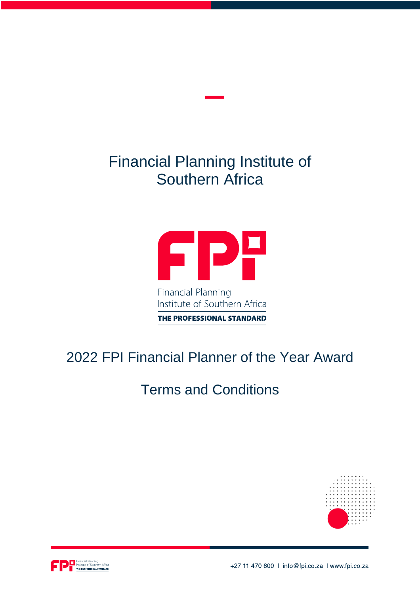# Financial Planning Institute of Southern Africa



THE PROFESSIONAL STANDARD

## 2022 FPI Financial Planner of the Year Award

## Terms and Conditions



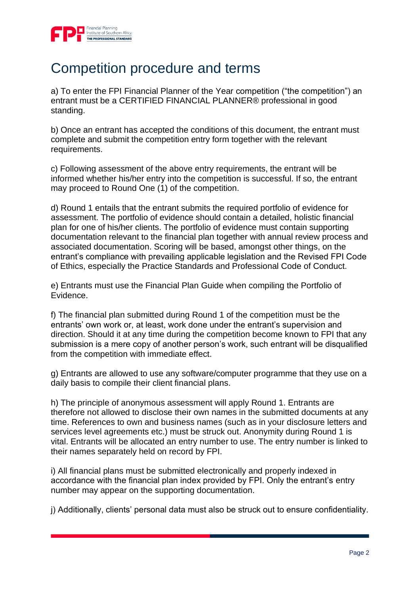

#### Competition procedure and terms

a) To enter the FPI Financial Planner of the Year competition ("the competition") an entrant must be a CERTIFIED FINANCIAL PLANNER® professional in good standing.

b) Once an entrant has accepted the conditions of this document, the entrant must complete and submit the competition entry form together with the relevant requirements.

c) Following assessment of the above entry requirements, the entrant will be informed whether his/her entry into the competition is successful. If so, the entrant may proceed to Round One (1) of the competition.

d) Round 1 entails that the entrant submits the required portfolio of evidence for assessment. The portfolio of evidence should contain a detailed, holistic financial plan for one of his/her clients. The portfolio of evidence must contain supporting documentation relevant to the financial plan together with annual review process and associated documentation. Scoring will be based, amongst other things, on the entrant's compliance with prevailing applicable legislation and the Revised FPI Code of Ethics, especially the Practice Standards and Professional Code of Conduct.

e) Entrants must use the Financial Plan Guide when compiling the Portfolio of Evidence.

f) The financial plan submitted during Round 1 of the competition must be the entrants' own work or, at least, work done under the entrant's supervision and direction. Should it at any time during the competition become known to FPI that any submission is a mere copy of another person's work, such entrant will be disqualified from the competition with immediate effect.

g) Entrants are allowed to use any software/computer programme that they use on a daily basis to compile their client financial plans.

h) The principle of anonymous assessment will apply Round 1. Entrants are therefore not allowed to disclose their own names in the submitted documents at any time. References to own and business names (such as in your disclosure letters and services level agreements etc.) must be struck out. Anonymity during Round 1 is vital. Entrants will be allocated an entry number to use. The entry number is linked to their names separately held on record by FPI.

i) All financial plans must be submitted electronically and properly indexed in accordance with the financial plan index provided by FPI. Only the entrant's entry number may appear on the supporting documentation.

j) Additionally, clients' personal data must also be struck out to ensure confidentiality.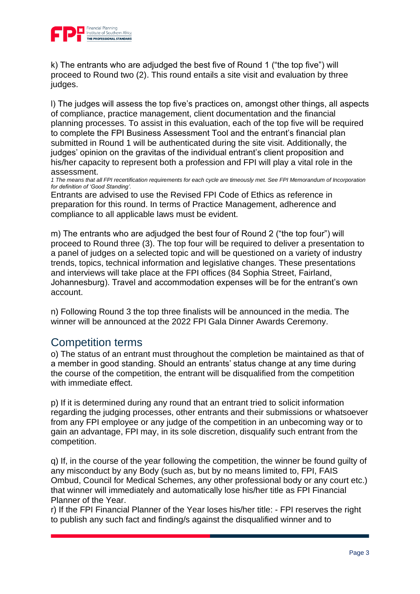

k) The entrants who are adjudged the best five of Round 1 ("the top five") will proceed to Round two (2). This round entails a site visit and evaluation by three judges.

l) The judges will assess the top five's practices on, amongst other things, all aspects of compliance, practice management, client documentation and the financial planning processes. To assist in this evaluation, each of the top five will be required to complete the FPI Business Assessment Tool and the entrant's financial plan submitted in Round 1 will be authenticated during the site visit. Additionally, the judges' opinion on the gravitas of the individual entrant's client proposition and his/her capacity to represent both a profession and FPI will play a vital role in the assessment.

*1 The means that all FPI recertification requirements for each cycle are timeously met. See FPI Memorandum of Incorporation for definition of 'Good Standing'.*

Entrants are advised to use the Revised FPI Code of Ethics as reference in preparation for this round. In terms of Practice Management, adherence and compliance to all applicable laws must be evident.

m) The entrants who are adjudged the best four of Round 2 ("the top four") will proceed to Round three (3). The top four will be required to deliver a presentation to a panel of judges on a selected topic and will be questioned on a variety of industry trends, topics, technical information and legislative changes. These presentations and interviews will take place at the FPI offices (84 Sophia Street, Fairland, Johannesburg). Travel and accommodation expenses will be for the entrant's own account.

n) Following Round 3 the top three finalists will be announced in the media. The winner will be announced at the 2022 FPI Gala Dinner Awards Ceremony.

#### Competition terms

o) The status of an entrant must throughout the completion be maintained as that of a member in good standing. Should an entrants' status change at any time during the course of the competition, the entrant will be disqualified from the competition with immediate effect.

p) If it is determined during any round that an entrant tried to solicit information regarding the judging processes, other entrants and their submissions or whatsoever from any FPI employee or any judge of the competition in an unbecoming way or to gain an advantage, FPI may, in its sole discretion, disqualify such entrant from the competition.

q) If, in the course of the year following the competition, the winner be found guilty of any misconduct by any Body (such as, but by no means limited to, FPI, FAIS Ombud, Council for Medical Schemes, any other professional body or any court etc.) that winner will immediately and automatically lose his/her title as FPI Financial Planner of the Year.

r) If the FPI Financial Planner of the Year loses his/her title: - FPI reserves the right to publish any such fact and finding/s against the disqualified winner and to